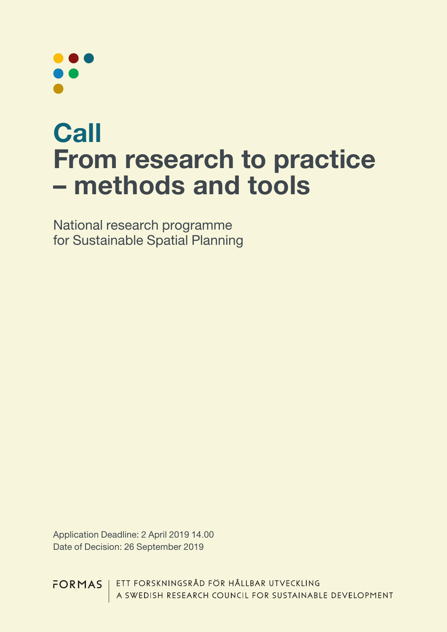# **Call** From research to practice – methods and tools

National research programme for Sustainable Spatial Planning

Application Deadline: 2 April 2019 14.00 Date of Decision: 26 September 2019

ETT FORSKNINGSRÅD FÖR HÅLLBAR UTVECKLING FORMAS A SWEDISH RESEARCH COUNCIL FOR SUSTAINABLE DEVELOPMENT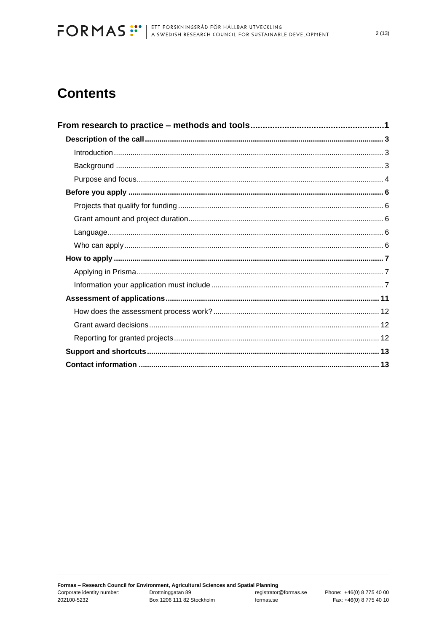# **Contents**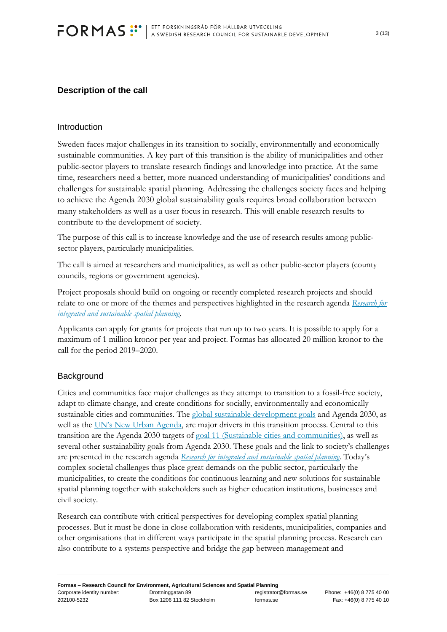### <span id="page-2-0"></span>**Description of the call**

#### <span id="page-2-1"></span>Introduction

Sweden faces major challenges in its transition to socially, environmentally and economically sustainable communities. A key part of this transition is the ability of municipalities and other public-sector players to translate research findings and knowledge into practice. At the same time, researchers need a better, more nuanced understanding of municipalities' conditions and challenges for sustainable spatial planning. Addressing the challenges society faces and helping to achieve the Agenda 2030 global sustainability goals requires broad collaboration between many stakeholders as well as a user focus in research. This will enable research results to contribute to the development of society.

The purpose of this call is to increase knowledge and the use of research results among publicsector players, particularly municipalities.

The call is aimed at researchers and municipalities, as well as other public-sector players (county councils, regions or government agencies).

Project proposals should build on ongoing or recently completed research projects and should relate to one or more of the themes and perspectives highlighted in the research agenda *[Research for](http://www.formas.se/Om-Formas/Formas-Publikationer/Rapporter/Forskning-for-ett-integrerat-och-hallbart-samhallsbyggande/)  [integrated and sustainable spatial planning](http://www.formas.se/Om-Formas/Formas-Publikationer/Rapporter/Forskning-for-ett-integrerat-och-hallbart-samhallsbyggande/)*.

Applicants can apply for grants for projects that run up to two years. It is possible to apply for a maximum of 1 million kronor per year and project. Formas has allocated 20 million kronor to the call for the period 2019–2020.

#### <span id="page-2-2"></span>**Background**

Cities and communities face major challenges as they attempt to transition to a fossil-free society, adapt to climate change, and create conditions for socially, environmentally and economically sustainable cities and communities. The [global sustainable development goals](https://sustainabledevelopment.un.org/) and Agenda 2030, as well as the [UN's New Urban Agenda](http://habitat3.org/the-new-urban-agenda), are major drivers in this transition process. Central to this transition are the Agenda 2030 targets of [goal 11 \(Sustainable cities and communities\),](https://sustainabledevelopment.un.org/sdg11) as well as several other sustainability goals from Agenda 2030. These goals and the link to society's challenges are presented in the research agenda *[Research for integrated and sustainable spatial planning](http://www.formas.se/Om-Formas/Formas-Publikationer/Rapporter/Forskning-for-ett-integrerat-och-hallbart-samhallsbyggande/)*. Today's complex societal challenges thus place great demands on the public sector, particularly the municipalities, to create the conditions for continuous learning and new solutions for sustainable spatial planning together with stakeholders such as higher education institutions, businesses and civil society.

Research can contribute with critical perspectives for developing complex spatial planning processes. But it must be done in close collaboration with residents, municipalities, companies and other organisations that in different ways participate in the spatial planning process. Research can also contribute to a systems perspective and bridge the gap between management and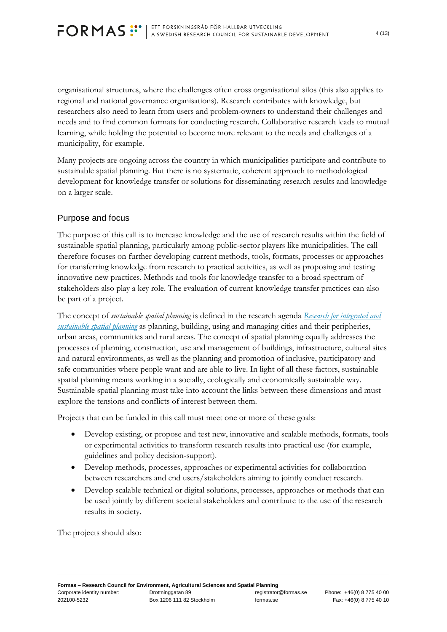organisational structures, where the challenges often cross organisational silos (this also applies to regional and national governance organisations). Research contributes with knowledge, but researchers also need to learn from users and problem-owners to understand their challenges and needs and to find common formats for conducting research. Collaborative research leads to mutual learning, while holding the potential to become more relevant to the needs and challenges of a municipality, for example.

Many projects are ongoing across the country in which municipalities participate and contribute to sustainable spatial planning. But there is no systematic, coherent approach to methodological development for knowledge transfer or solutions for disseminating research results and knowledge on a larger scale.

#### <span id="page-3-0"></span>Purpose and focus

The purpose of this call is to increase knowledge and the use of research results within the field of sustainable spatial planning, particularly among public-sector players like municipalities. The call therefore focuses on further developing current methods, tools, formats, processes or approaches for transferring knowledge from research to practical activities, as well as proposing and testing innovative new practices. Methods and tools for knowledge transfer to a broad spectrum of stakeholders also play a key role. The evaluation of current knowledge transfer practices can also be part of a project.

The concept of *sustainable spatial planning* is defined in the research agenda *[Research for integrated and](http://www.formas.se/Om-Formas/Formas-Publikationer/Rapporter/Forskning-for-ett-integrerat-och-hallbart-samhallsbyggande/)  [sustainable spatial planning](http://www.formas.se/Om-Formas/Formas-Publikationer/Rapporter/Forskning-for-ett-integrerat-och-hallbart-samhallsbyggande/)* as planning, building, using and managing cities and their peripheries, urban areas, communities and rural areas. The concept of spatial planning equally addresses the processes of planning, construction, use and management of buildings, infrastructure, cultural sites and natural environments, as well as the planning and promotion of inclusive, participatory and safe communities where people want and are able to live. In light of all these factors, sustainable spatial planning means working in a socially, ecologically and economically sustainable way. Sustainable spatial planning must take into account the links between these dimensions and must explore the tensions and conflicts of interest between them.

Projects that can be funded in this call must meet one or more of these goals:

- Develop existing, or propose and test new, innovative and scalable methods, formats, tools or experimental activities to transform research results into practical use (for example, guidelines and policy decision-support).
- Develop methods, processes, approaches or experimental activities for collaboration between researchers and end users/stakeholders aiming to jointly conduct research.
- Develop scalable technical or digital solutions, processes, approaches or methods that can be used jointly by different societal stakeholders and contribute to the use of the research results in society.

The projects should also: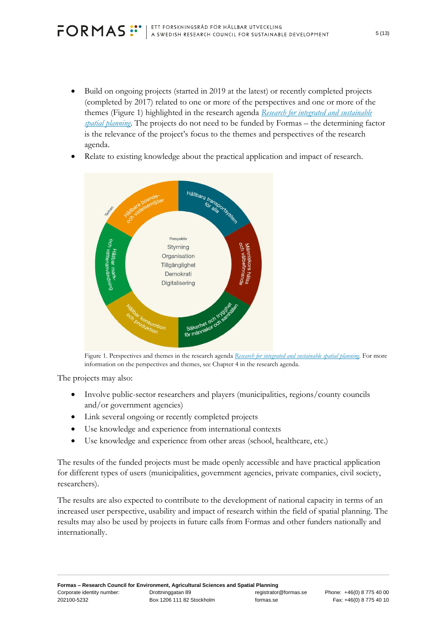• Build on ongoing projects (started in 2019 at the latest) or recently completed projects (completed by 2017) related to one or more of the perspectives and one or more of the themes (Figure 1) highlighted in the research agenda *Research for integrated and [sustainable](http://www.formas.se/Om-Formas/Formas-Publikationer/Rapporter/Forskning-for-ett-integrerat-och-hallbart-samhallsbyggande/) spatial [planning](http://www.formas.se/Om-Formas/Formas-Publikationer/Rapporter/Forskning-for-ett-integrerat-och-hallbart-samhallsbyggande/)*. The projects do not need to be funded by Formas – the determining factor is the relevance of the project's focus to the themes and perspectives of the research agenda.



Relate to existing knowledge about the practical application and impact of research.

Figure 1. Perspectives and themes in the research agenda *Research for integrated and [sustainable](http://www.formas.se/Om-Formas/Formas-Publikationer/Rapporter/Forskning-for-ett-integrerat-och-hallbart-samhallsbyggande/) spatial planning*. For more information on the perspectives and themes, see Chapter 4 in the research agenda.

The projects may also:

- Involve public-sector researchers and players (municipalities, regions/county councils and/or government agencies)
- Link several ongoing or recently completed projects
- Use knowledge and experience from international contexts
- Use knowledge and experience from other areas (school, healthcare, etc.)

The results of the funded projects must be made openly accessible and have practical application for different types of users (municipalities, government agencies, private companies, civil society, researchers).

The results are also expected to contribute to the development of national capacity in terms of an increased user perspective, usability and impact of research within the field of spatial planning. The results may also be used by projects in future calls from Formas and other funders nationally and internationally.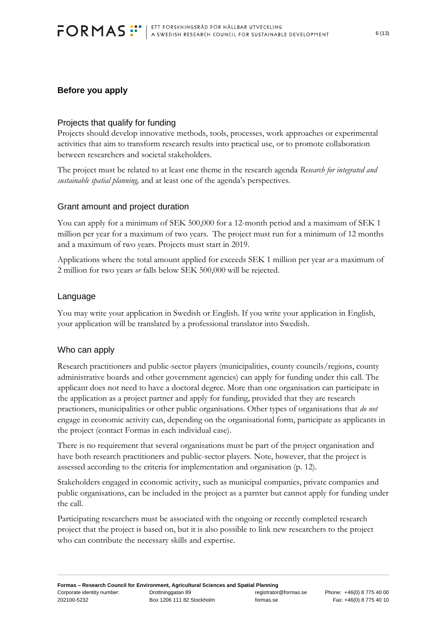### <span id="page-5-0"></span>**Before you apply**

#### <span id="page-5-1"></span>Projects that qualify for funding

Projects should develop innovative methods, tools, processes, work approaches or experimental activities that aim to transform research results into practical use, or to promote collaboration between researchers and societal stakeholders.

The project must be related to at least one theme in the research agenda *Research for integrated and sustainable spatial planning,* and at least one of the agenda's perspectives*.*

#### <span id="page-5-2"></span>Grant amount and project duration

You can apply for a minimum of SEK 500,000 for a 12-month period and a maximum of SEK 1 million per year for a maximum of two years. The project must run for a minimum of 12 months and a maximum of two years. Projects must start in 2019.

Applications where the total amount applied for exceeds SEK 1 million per year *or* a maximum of 2 million for two years *or* falls below SEK 500,000 will be rejected.

#### <span id="page-5-3"></span>Language

You may write your application in Swedish or English. If you write your application in English, your application will be translated by a professional translator into Swedish.

#### <span id="page-5-4"></span>Who can apply

Research practitioners and public-sector players (municipalities, county councils/regions, county administrative boards and other government agencies) can apply for funding under this call. The applicant does not need to have a doctoral degree. More than one organisation can participate in the application as a project partner and apply for funding, provided that they are research practioners, municipalities or other public organisations. Other types of organisations that *do not* engage in economic activity can, depending on the organisational form, participate as applicants in the project (contact Formas in each individual case).

There is no requirement that several organisations must be part of the project organisation and have both research practitioners and public-sector players. Note, however, that the project is assessed according to the criteria for implementation and organisation (p. 12).

Stakeholders engaged in economic activity, such as municipal companies, private companies and public organisations, can be included in the project as a parnter but cannot apply for funding under the call.

Participating researchers must be associated with the ongoing or recently completed research project that the project is based on, but it is also possible to link new researchers to the project who can contribute the necessary skills and expertise.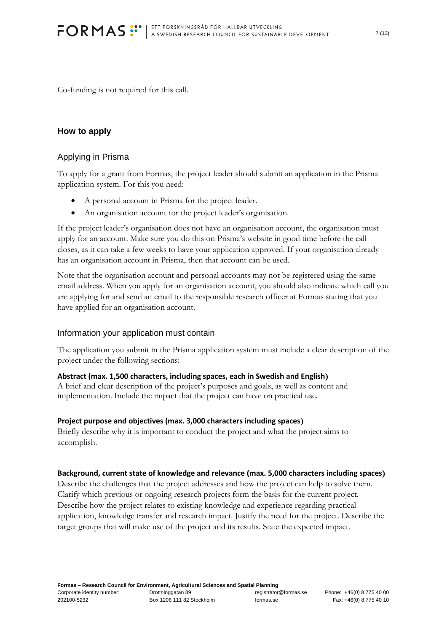Co-funding is not required for this call.

#### <span id="page-6-0"></span>**How to apply**

#### <span id="page-6-1"></span>Applying in Prisma

To apply for a grant from Formas, the project leader should submit an application in the Prisma application system. For this you need:

- A personal account in Prisma for the project leader.
- An organisation account for the project leader's organisation.

If the project leader's organisation does not have an organisation account, the organisation must apply for an account. Make sure you do this on Prisma's website in good time before the call closes, as it can take a few weeks to have your application approved. If your organisation already has an organisation account in Prisma, then that account can be used.

Note that the organisation account and personal accounts may not be registered using the same email address. When you apply for an organisation account, you should also indicate which call you are applying for and send an email to the responsible research officer at Formas stating that you have applied for an organisation account.

#### <span id="page-6-2"></span>Information your application must contain

The application you submit in the Prisma application system must include a clear description of the project under the following sections:

#### **Abstract (max. 1,500 characters, including spaces, each in Swedish and English)**

A brief and clear description of the project's purposes and goals, as well as content and implementation. Include the impact that the project can have on practical use.

#### **Project purpose and objectives (max. 3,000 characters including spaces)**

Briefly describe why it is important to conduct the project and what the project aims to accomplish.

#### **Background, current state of knowledge and relevance (max. 5,000 characters including spaces)**

Describe the challenges that the project addresses and how the project can help to solve them. Clarify which previous or ongoing research projects form the basis for the current project. Describe how the project relates to existing knowledge and experience regarding practical application, knowledge transfer and research impact. Justify the need for the project. Describe the target groups that will make use of the project and its results. State the expected impact.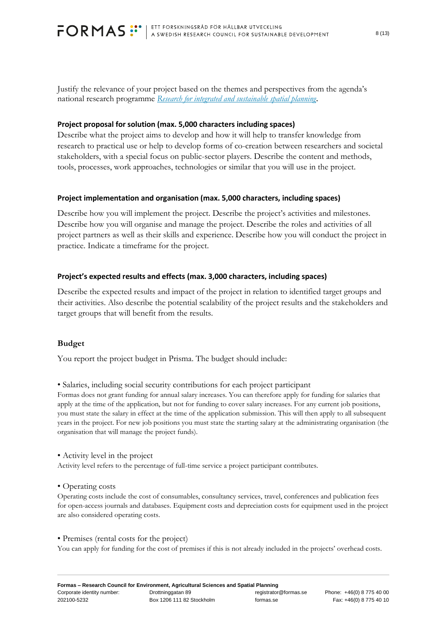Justify the relevance of your project based on the themes and perspectives from the agenda's national research programme *[Research for integrated and sustainable spatial planning](http://www.formas.se/Om-Formas/Formas-Publikationer/Rapporter/Forskning-for-ett-integrerat-och-hallbart-samhallsbyggande/)*.

#### **Project proposal for solution (max. 5,000 characters including spaces)**

Describe what the project aims to develop and how it will help to transfer knowledge from research to practical use or help to develop forms of co-creation between researchers and societal stakeholders, with a special focus on public-sector players. Describe the content and methods, tools, processes, work approaches, technologies or similar that you will use in the project.

#### **Project implementation and organisation (max. 5,000 characters, including spaces)**

Describe how you will implement the project. Describe the project's activities and milestones. Describe how you will organise and manage the project. Describe the roles and activities of all project partners as well as their skills and experience. Describe how you will conduct the project in practice. Indicate a timeframe for the project.

#### **Project's expected results and effects (max. 3,000 characters, including spaces)**

Describe the expected results and impact of the project in relation to identified target groups and their activities. Also describe the potential scalability of the project results and the stakeholders and target groups that will benefit from the results.

#### **Budget**

You report the project budget in Prisma. The budget should include:

• Salaries, including social security contributions for each project participant

Formas does not grant funding for annual salary increases. You can therefore apply for funding for salaries that apply at the time of the application, but not for funding to cover salary increases. For any current job positions, you must state the salary in effect at the time of the application submission. This will then apply to all subsequent years in the project. For new job positions you must state the starting salary at the administrating organisation (the organisation that will manage the project funds).

• Activity level in the project Activity level refers to the percentage of full-time service a project participant contributes.

#### • Operating costs

Operating costs include the cost of consumables, consultancy services, travel, conferences and publication fees for open-access journals and databases. Equipment costs and depreciation costs for equipment used in the project are also considered operating costs.

• Premises (rental costs for the project)

You can apply for funding for the cost of premises if this is not already included in the projects' overhead costs.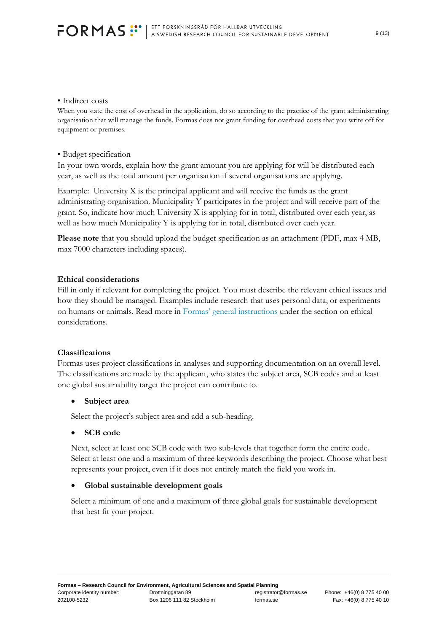#### • Indirect costs

When you state the cost of overhead in the application, do so according to the practice of the grant administrating organisation that will manage the funds. Formas does not grant funding for overhead costs that you write off for equipment or premises.

#### • Budget specification

In your own words, explain how the grant amount you are applying for will be distributed each year, as well as the total amount per organisation if several organisations are applying.

Example: University X is the principal applicant and will receive the funds as the grant administrating organisation. Municipality Y participates in the project and will receive part of the grant. So, indicate how much University X is applying for in total, distributed over each year, as well as how much Municipality Y is applying for in total, distributed over each year.

**Please note** that you should upload the budget specification as an attachment (PDF, max 4 MB, max 7000 characters including spaces).

#### **Ethical considerations**

Fill in only if relevant for completing the project. You must describe the relevant ethical issues and how they should be managed. Examples include research that uses personal data, or experiments on humans or animals. Read more in [Formas' general instructions](http://formas.se/sv/Finansiering/Allmanna-anvisningar/) under the section on ethical considerations.

#### **Classifications**

Formas uses project classifications in analyses and supporting documentation on an overall level. The classifications are made by the applicant, who states the subject area, SCB codes and at least one global sustainability target the project can contribute to.

#### • **Subject area**

Select the project's subject area and add a sub-heading.

#### • **SCB code**

Next, select at least one SCB code with two sub-levels that together form the entire code. Select at least one and a maximum of three keywords describing the project. Choose what best represents your project, even if it does not entirely match the field you work in.

#### • **Global sustainable development goals**

Select a minimum of one and a maximum of three global goals for sustainable development that best fit your project.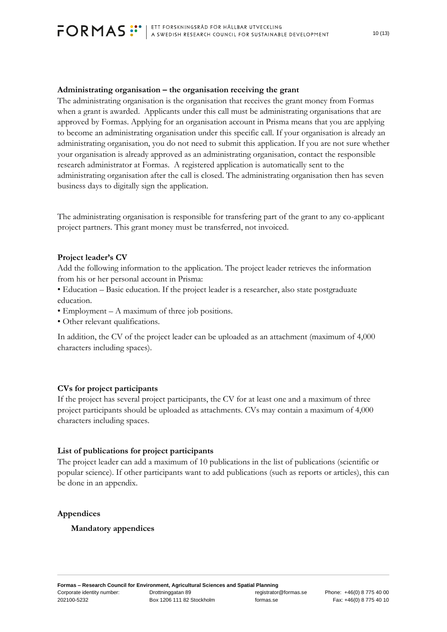#### **Administrating organisation – the organisation receiving the grant**

The administrating organisation is the organisation that receives the grant money from Formas when a grant is awarded. Applicants under this call must be administrating organisations that are approved by Formas. Applying for an organisation account in Prisma means that you are applying to become an administrating organisation under this specific call. If your organisation is already an administrating organisation, you do not need to submit this application. If you are not sure whether your organisation is already approved as an administrating organisation, contact the responsible research administrator at Formas. A registered application is automatically sent to the administrating organisation after the call is closed. The administrating organisation then has seven business days to digitally sign the application.

The administrating organisation is responsible for transfering part of the grant to any co-applicant project partners. This grant money must be transferred, not invoiced.

#### **Project leader's CV**

Add the following information to the application. The project leader retrieves the information from his or her personal account in Prisma:

• Education – Basic education. If the project leader is a researcher, also state postgraduate education.

- Employment A maximum of three job positions.
- Other relevant qualifications.

In addition, the CV of the project leader can be uploaded as an attachment (maximum of 4,000 characters including spaces).

#### **CVs for project participants**

If the project has several project participants, the CV for at least one and a maximum of three project participants should be uploaded as attachments. CVs may contain a maximum of 4,000 characters including spaces.

#### **List of publications for project participants**

The project leader can add a maximum of 10 publications in the list of publications (scientific or popular science). If other participants want to add publications (such as reports or articles), this can be done in an appendix.

#### **Appendices**

#### **Mandatory appendices**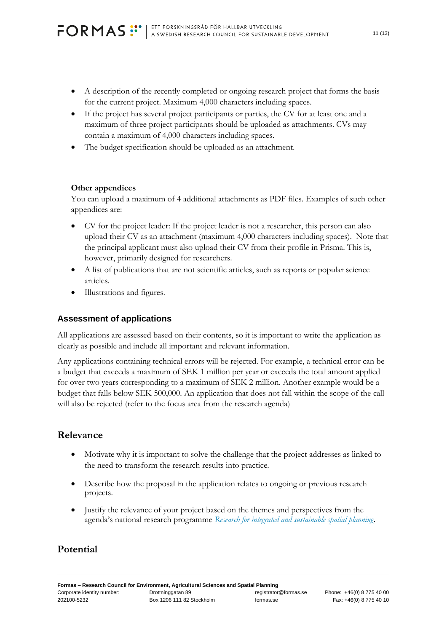- A description of the recently completed or ongoing research project that forms the basis for the current project. Maximum 4,000 characters including spaces.
- If the project has several project participants or parties, the CV for at least one and a maximum of three project participants should be uploaded as attachments. CVs may contain a maximum of 4,000 characters including spaces.
- The budget specification should be uploaded as an attachment.

### **Other appendices**

You can upload a maximum of 4 additional attachments as PDF files. Examples of such other appendices are:

- CV for the project leader: If the project leader is not a researcher, this person can also upload their CV as an attachment (maximum 4,000 characters including spaces). Note that the principal applicant must also upload their CV from their profile in Prisma. This is, however, primarily designed for researchers.
- A list of publications that are not scientific articles, such as reports or popular science articles.
- Illustrations and figures.

## <span id="page-10-0"></span>**Assessment of applications**

All applications are assessed based on their contents, so it is important to write the application as clearly as possible and include all important and relevant information.

Any applications containing technical errors will be rejected. For example, a technical error can be a budget that exceeds a maximum of SEK 1 million per year or exceeds the total amount applied for over two years corresponding to a maximum of SEK 2 million. Another example would be a budget that falls below SEK 500,000. An application that does not fall within the scope of the call will also be rejected (refer to the focus area from the research agenda)

# **Relevance**

- Motivate why it is important to solve the challenge that the project addresses as linked to the need to transform the research results into practice.
- Describe how the proposal in the application relates to ongoing or previous research projects.
- Justify the relevance of your project based on the themes and perspectives from the agenda's national research programme *[Research for integrated and sustainable spatial planning](http://www.formas.se/Om-Formas/Formas-Publikationer/Rapporter/Forskning-for-ett-integrerat-och-hallbart-samhallsbyggande/)*.

# **Potential**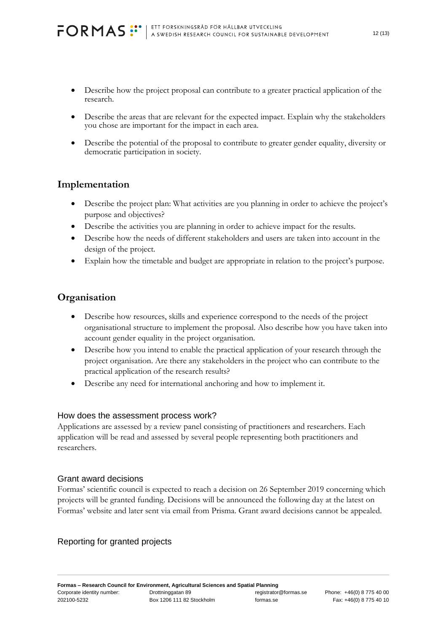- Describe how the project proposal can contribute to a greater practical application of the research.
- Describe the areas that are relevant for the expected impact. Explain why the stakeholders you chose are important for the impact in each area.
- Describe the potential of the proposal to contribute to greater gender equality, diversity or democratic participation in society.

# **Implementation**

- Describe the project plan: What activities are you planning in order to achieve the project's purpose and objectives?
- Describe the activities you are planning in order to achieve impact for the results.
- Describe how the needs of different stakeholders and users are taken into account in the design of the project.
- Explain how the timetable and budget are appropriate in relation to the project's purpose.

### **Organisation**

- Describe how resources, skills and experience correspond to the needs of the project organisational structure to implement the proposal. Also describe how you have taken into account gender equality in the project organisation.
- Describe how you intend to enable the practical application of your research through the project organisation. Are there any stakeholders in the project who can contribute to the practical application of the research results?
- Describe any need for international anchoring and how to implement it.

#### <span id="page-11-0"></span>How does the assessment process work?

Applications are assessed by a review panel consisting of practitioners and researchers. Each application will be read and assessed by several people representing both practitioners and researchers.

#### <span id="page-11-1"></span>Grant award decisions

Formas' scientific council is expected to reach a decision on 26 September 2019 concerning which projects will be granted funding. Decisions will be announced the following day at the latest on Formas' website and later sent via email from Prisma. Grant award decisions cannot be appealed.

#### <span id="page-11-2"></span>Reporting for granted projects